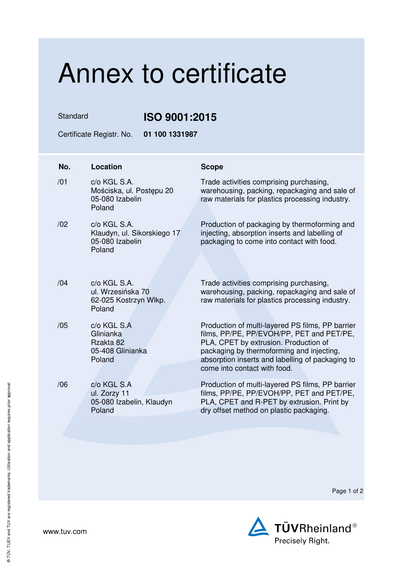## Annex to certificate

Standard **ISO 9001:2015** 

Certificate Registr. No. **01 100 1331987** 

| No. | Location                                                                 | <b>Scope</b>                                                                                                                                                                                                                                                            |
|-----|--------------------------------------------------------------------------|-------------------------------------------------------------------------------------------------------------------------------------------------------------------------------------------------------------------------------------------------------------------------|
| /01 | c/o KGL S.A.<br>Mościska, ul. Postępu 20<br>05-080 Izabelin<br>Poland    | Trade activities comprising purchasing,<br>warehousing, packing, repackaging and sale of<br>raw materials for plastics processing industry.                                                                                                                             |
| /02 | c/o KGL S.A.<br>Klaudyn, ul. Sikorskiego 17<br>05-080 Izabelin<br>Poland | Production of packaging by thermoforming and<br>injecting, absorption inserts and labelling of<br>packaging to come into contact with food.                                                                                                                             |
| /04 | c/o KGL S.A.<br>ul. Wrzesińska 70<br>62-025 Kostrzyn Wlkp.<br>Poland     | Trade activities comprising purchasing,<br>warehousing, packing, repackaging and sale of<br>raw materials for plastics processing industry.                                                                                                                             |
| /05 | c/o KGL S.A<br>Glinianka<br>Rzakta 82<br>05-408 Glinianka<br>Poland      | Production of multi-layered PS films, PP barrier<br>films, PP/PE, PP/EVOH/PP, PET and PET/PE,<br>PLA, CPET by extrusion. Production of<br>packaging by thermoforming and injecting,<br>absorption inserts and labelling of packaging to<br>come into contact with food. |
| /06 | c/o KGL S.A<br>ul. Zorzy 11<br>05-080 Izabelin, Klaudyn<br>Poland        | Production of multi-layered PS films, PP barrier<br>films, PP/PE, PP/EVOH/PP, PET and PET/PE,<br>PLA, CPET and R-PET by extrusion. Print by<br>dry offset method on plastic packaging.                                                                                  |

Page 1 of 2



www.tuv.com